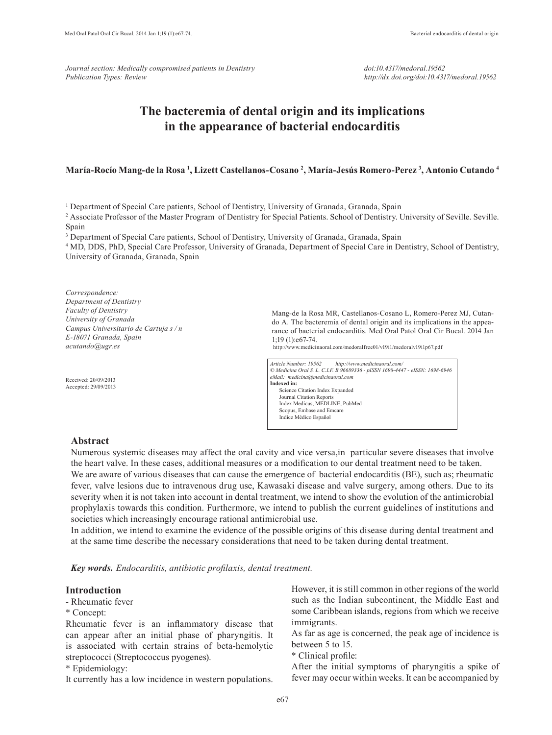*Journal section: Medically compromised patients in Dentistry Publication Types: Review*

*doi:10.4317/medoral.19562 http://dx.doi.org/doi:10.4317/medoral.19562*

# **The bacteremia of dental origin and its implications in the appearance of bacterial endocarditis**

## **María-Rocío Mang-de la Rosa 1 , Lizett Castellanos-Cosano 2 , María-Jesús Romero-Perez 3 , Antonio Cutando 4**

<sup>1</sup> Department of Special Care patients, School of Dentistry, University of Granada, Granada, Spain

<sup>2</sup> Associate Professor of the Master Program of Dentistry for Special Patients. School of Dentistry. University of Seville. Seville. Spain

<sup>3</sup> Department of Special Care patients, School of Dentistry, University of Granada, Granada, Spain

<sup>4</sup> MD, DDS, PhD, Special Care Professor, University of Granada, Department of Special Care in Dentistry, School of Dentistry, University of Granada, Granada, Spain

*Correspondence: Department of Dentistry Faculty of Dentistry University of Granada Campus Universitario de Cartuja s / n E-18071 Granada, Spain acutando@ugr.es*

Received: 20/09/2013 Accepted: 29/09/2013 Mang-de la Rosa MR, Castellanos-Cosano L, Romero-Perez MJ, Cutando A. The bacteremia of dental origin and its implications in the appearance of bacterial endocarditis. Med Oral Patol Oral Cir Bucal. 2014 Jan 1;19 (1):e67-74.

http://www.medicinaoral.com/medoralfree01/v19i1/medoralv19i1p67.pdf

*Article Number: 19562 http://www.medicinaoral.com/ © Medicina Oral S. L. C.I.F. B 96689336 - pISSN 1698-4447 - eISSN: 1698-6946 eMail: medicina@medicinaoral.com*  **Indexed in:**  Science Citation Index Expanded Journal Citation Reports Index Medicus, MEDLINE, PubMed Scopus, Embase and Emcare Indice Médico Español

### **Abstract**

Numerous systemic diseases may affect the oral cavity and vice versa,in particular severe diseases that involve the heart valve. In these cases, additional measures or a modification to our dental treatment need to be taken. We are aware of various diseases that can cause the emergence of bacterial endocarditis (BE), such as; rheumatic fever, valve lesions due to intravenous drug use, Kawasaki disease and valve surgery, among others. Due to its severity when it is not taken into account in dental treatment, we intend to show the evolution of the antimicrobial prophylaxis towards this condition. Furthermore, we intend to publish the current guidelines of institutions and societies which increasingly encourage rational antimicrobial use.

In addition, we intend to examine the evidence of the possible origins of this disease during dental treatment and at the same time describe the necessary considerations that need to be taken during dental treatment.

*Key words. Endocarditis, antibiotic profilaxis, dental treatment.*

## **Introduction**

- Rheumatic fever

\* Concept:

Rheumatic fever is an inflammatory disease that can appear after an initial phase of pharyngitis. It is associated with certain strains of beta-hemolytic streptococci (Streptococcus pyogenes).

\* Epidemiology:

It currently has a low incidence in western populations.

However, it is still common in other regions of the world such as the Indian subcontinent, the Middle East and some Caribbean islands, regions from which we receive immigrants.

As far as age is concerned, the peak age of incidence is between 5 to 15.

\* Clinical profile:

After the initial symptoms of pharyngitis a spike of fever may occur within weeks. It can be accompanied by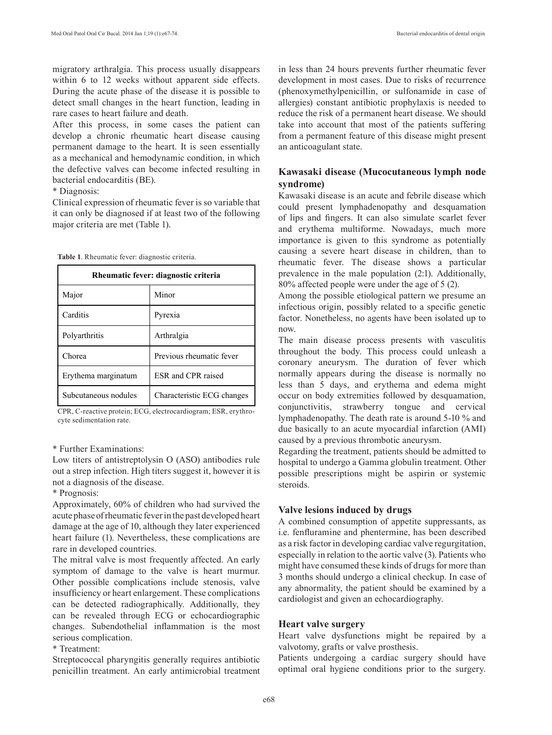migratory arthralgia. This process usually disappears within 6 to 12 weeks without apparent side effects. During the acute phase of the disease it is possible to detect small changes in the heart function, leading in rare cases to heart failure and death.

After this process, in some cases the patient can develop a chronic rheumatic heart disease causing permanent damage to the heart. It is seen essentially as a mechanical and hemodynamic condition, in which the defective valves can become infected resulting in bacterial endocarditis (BE).

\* Diagnosis:

Clinical expression of rheumatic fever is so variable that it can only be diagnosed if at least two of the following major criteria are met (Table 1).

|  | Table 1. Rheumatic fever: diagnostic criteria. |  |  |  |
|--|------------------------------------------------|--|--|--|
|--|------------------------------------------------|--|--|--|

| Rheumatic fever: diagnostic criteria |                            |  |
|--------------------------------------|----------------------------|--|
| Major                                | Minor                      |  |
| Carditis                             | Pyrexia                    |  |
| Polyarthritis                        | Arthralgia                 |  |
| Chorea                               | Previous rheumatic fever   |  |
| Erythema marginatum                  | ESR and CPR raised         |  |
| Subcutaneous nodules                 | Characteristic ECG changes |  |

CPR, C-reactive protein; ECG, electrocardiogram; ESR, erythrocyte sedimentation rate.

## \* Further Examinations:

Low titers of antistreptolysin O (ASO) antibodies rule out a strep infection. High titers suggest it, however it is not a diagnosis of the disease.

\* Prognosis:

Approximately, 60% of children who had survived the acute phase of rheumatic fever in the past developed heart damage at the age of 10, although they later experienced heart failure (1). Nevertheless, these complications are rare in developed countries.

The mitral valve is most frequently affected. An early symptom of damage to the valve is heart murmur. Other possible complications include stenosis, valve insufficiency or heart enlargement. These complications can be detected radiographically. Additionally, they can be revealed through ECG or echocardiographic changes. Subendothelial inflammation is the most serious complication.

\* Treatment:

Streptococcal pharyngitis generally requires antibiotic penicillin treatment. An early antimicrobial treatment

in less than 24 hours prevents further rheumatic fever development in most cases. Due to risks of recurrence (phenoxymethylpenicillin, or sulfonamide in case of allergies) constant antibiotic prophylaxis is needed to reduce the risk of a permanent heart disease. We should take into account that most of the patients suffering from a permanent feature of this disease might present an anticoagulant state.

# **Kawasaki disease (Mucocutaneous lymph node syndrome)**

Kawasaki disease is an acute and febrile disease which could present lymphadenopathy and desquamation of lips and fingers. It can also simulate scarlet fever and erythema multiforme. Nowadays, much more importance is given to this syndrome as potentially causing a severe heart disease in children, than to rheumatic fever. The disease shows a particular prevalence in the male population (2:1). Additionally, 80% affected people were under the age of 5 (2).

Among the possible etiological pattern we presume an infectious origin, possibly related to a specific genetic factor. Nonetheless, no agents have been isolated up to now.

The main disease process presents with vasculitis throughout the body. This process could unleash a coronary aneurysm. The duration of fever which normally appears during the disease is normally no less than 5 days, and erythema and edema might occur on body extremities followed by desquamation, conjunctivitis, strawberry tongue and cervical lymphadenopathy. The death rate is around 5-10 % and due basically to an acute myocardial infarction (AMI) caused by a previous thrombotic aneurysm.

Regarding the treatment, patients should be admitted to hospital to undergo a Gamma globulin treatment. Other possible prescriptions might be aspirin or systemic steroids.

# **Valve lesions induced by drugs**

A combined consumption of appetite suppressants, as i.e. fenfluramine and phentermine, has been described as a risk factor in developing cardiac valve regurgitation, especially in relation to the aortic valve (3). Patients who might have consumed these kinds of drugs for more than 3 months should undergo a clinical checkup. In case of any abnormality, the patient should be examined by a cardiologist and given an echocardiography.

## **Heart valve surgery**

Heart valve dysfunctions might be repaired by a valvotomy, grafts or valve prosthesis.

Patients undergoing a cardiac surgery should have optimal oral hygiene conditions prior to the surgery.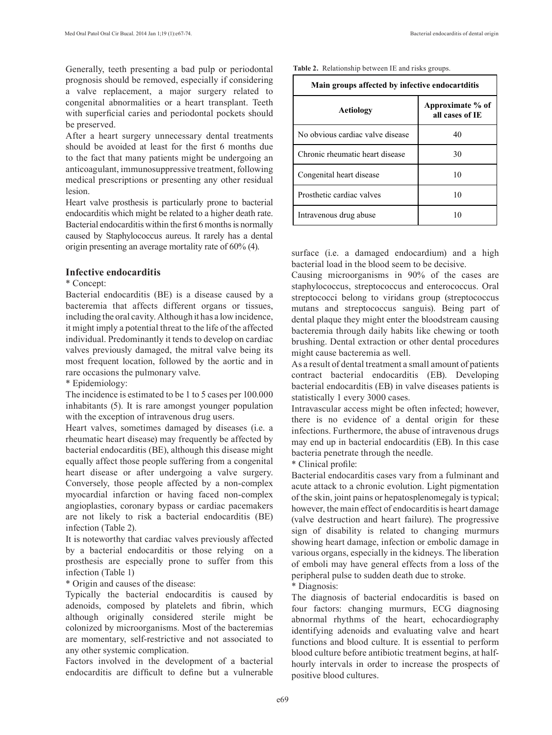Generally, teeth presenting a bad pulp or periodontal prognosis should be removed, especially if considering a valve replacement, a major surgery related to congenital abnormalities or a heart transplant. Teeth with superficial caries and periodontal pockets should be preserved.

After a heart surgery unnecessary dental treatments should be avoided at least for the first 6 months due to the fact that many patients might be undergoing an anticoagulant, immunosuppressive treatment, following medical prescriptions or presenting any other residual lesion.

Heart valve prosthesis is particularly prone to bacterial endocarditis which might be related to a higher death rate. Bacterial endocarditis within the first 6 months is normally caused by Staphylococcus aureus. It rarely has a dental origin presenting an average mortality rate of 60% (4).

# **Infective endocarditis**

\* Concept:

Bacterial endocarditis (BE) is a disease caused by a bacteremia that affects different organs or tissues, including the oral cavity. Although it has a low incidence, it might imply a potential threat to the life of the affected individual. Predominantly it tends to develop on cardiac valves previously damaged, the mitral valve being its most frequent location, followed by the aortic and in rare occasions the pulmonary valve.

\* Epidemiology:

The incidence is estimated to be 1 to 5 cases per 100.000 inhabitants (5). It is rare amongst younger population with the exception of intravenous drug users.

Heart valves, sometimes damaged by diseases (i.e. a rheumatic heart disease) may frequently be affected by bacterial endocarditis (BE), although this disease might equally affect those people suffering from a congenital heart disease or after undergoing a valve surgery. Conversely, those people affected by a non-complex myocardial infarction or having faced non-complex angioplasties, coronary bypass or cardiac pacemakers are not likely to risk a bacterial endocarditis (BE) infection (Table 2).

It is noteworthy that cardiac valves previously affected by a bacterial endocarditis or those relying on a prosthesis are especially prone to suffer from this infection (Table 1)

\* Origin and causes of the disease:

Typically the bacterial endocarditis is caused by adenoids, composed by platelets and fibrin, which although originally considered sterile might be colonized by microorganisms. Most of the bacteremias are momentary, self-restrictive and not associated to any other systemic complication.

Factors involved in the development of a bacterial endocarditis are difficult to define but a vulnerable **Table 2.** Relationship between IE and risks groups.

| Main groups affected by infective endocartditis |                                     |  |  |
|-------------------------------------------------|-------------------------------------|--|--|
| Aetiology                                       | Approximate % of<br>all cases of IE |  |  |
| No obvious cardiac valve disease                | 40                                  |  |  |
| Chronic rheumatic heart disease                 | 30                                  |  |  |
| Congenital heart disease                        | 10                                  |  |  |
| Prosthetic cardiac valves                       | 10                                  |  |  |
| Intravenous drug abuse                          |                                     |  |  |

surface (i.e. a damaged endocardium) and a high bacterial load in the blood seem to be decisive.

Causing microorganisms in 90% of the cases are staphylococcus, streptococcus and enterococcus. Oral streptococci belong to viridans group (streptococcus mutans and streptococcus sanguis). Being part of dental plaque they might enter the bloodstream causing bacteremia through daily habits like chewing or tooth brushing. Dental extraction or other dental procedures might cause bacteremia as well.

As a result of dental treatment a small amount of patients contract bacterial endocarditis (EB). Developing bacterial endocarditis (EB) in valve diseases patients is statistically 1 every 3000 cases.

Intravascular access might be often infected; however, there is no evidence of a dental origin for these infections. Furthermore, the abuse of intravenous drugs may end up in bacterial endocarditis (EB). In this case bacteria penetrate through the needle.

\* Clinical profile:

Bacterial endocarditis cases vary from a fulminant and acute attack to a chronic evolution. Light pigmentation of the skin, joint pains or hepatosplenomegaly is typical; however, the main effect of endocarditis is heart damage (valve destruction and heart failure). The progressive sign of disability is related to changing murmurs showing heart damage, infection or embolic damage in various organs, especially in the kidneys. The liberation of emboli may have general effects from a loss of the peripheral pulse to sudden death due to stroke.

\* Diagnosis:

The diagnosis of bacterial endocarditis is based on four factors: changing murmurs, ECG diagnosing abnormal rhythms of the heart, echocardiography identifying adenoids and evaluating valve and heart functions and blood culture. It is essential to perform blood culture before antibiotic treatment begins, at halfhourly intervals in order to increase the prospects of positive blood cultures.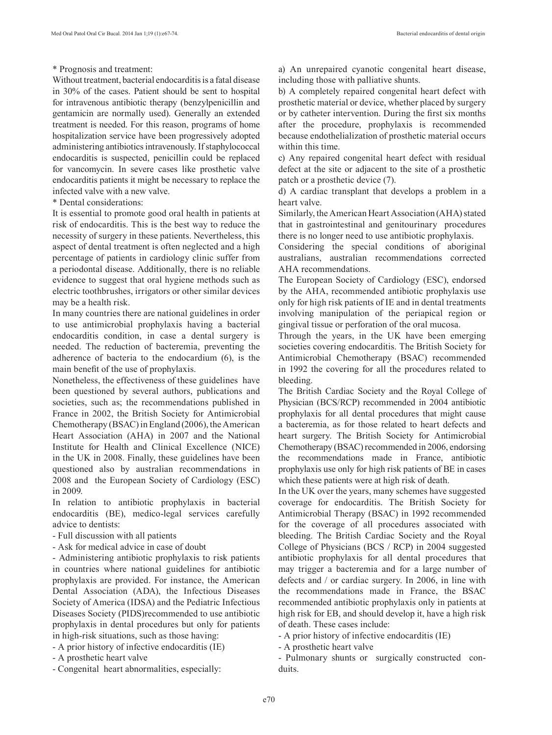#### \* Prognosis and treatment:

Without treatment, bacterial endocarditis is a fatal disease in 30% of the cases. Patient should be sent to hospital for intravenous antibiotic therapy (benzylpenicillin and gentamicin are normally used). Generally an extended treatment is needed. For this reason, programs of home hospitalization service have been progressively adopted administering antibiotics intravenously. If staphylococcal endocarditis is suspected, penicillin could be replaced for vancomycin. In severe cases like prosthetic valve endocarditis patients it might be necessary to replace the infected valve with a new valve.

\* Dental considerations:

It is essential to promote good oral health in patients at risk of endocarditis. This is the best way to reduce the necessity of surgery in these patients. Nevertheless, this aspect of dental treatment is often neglected and a high percentage of patients in cardiology clinic suffer from a periodontal disease. Additionally, there is no reliable evidence to suggest that oral hygiene methods such as electric toothbrushes, irrigators or other similar devices may be a health risk.

In many countries there are national guidelines in order to use antimicrobial prophylaxis having a bacterial endocarditis condition, in case a dental surgery is needed. The reduction of bacteremia, preventing the adherence of bacteria to the endocardium (6), is the main benefit of the use of prophylaxis.

Nonetheless, the effectiveness of these guidelines have been questioned by several authors, publications and societies, such as; the recommendations published in France in 2002, the British Society for Antimicrobial Chemotherapy (BSAC) in England (2006), the American Heart Association (AHA) in 2007 and the National Institute for Health and Clinical Excellence (NICE) in the UK in 2008. Finally, these guidelines have been questioned also by australian recommendations in 2008 and the European Society of Cardiology (ESC) in 2009.

In relation to antibiotic prophylaxis in bacterial endocarditis (BE), medico-legal services carefully advice to dentists:

- Full discussion with all patients
- Ask for medical advice in case of doubt

- Administering antibiotic prophylaxis to risk patients in countries where national guidelines for antibiotic prophylaxis are provided. For instance, the American Dental Association (ADA), the Infectious Diseases Society of America (IDSA) and the Pediatric Infectious Diseases Society (PIDS)recommended to use antibiotic prophylaxis in dental procedures but only for patients in high-risk situations, such as those having:

- A prior history of infective endocarditis (IE)

- A prosthetic heart valve

- Congenital heart abnormalities, especially:

a) An unrepaired cyanotic congenital heart disease, including those with palliative shunts.

b) A completely repaired congenital heart defect with prosthetic material or device, whether placed by surgery or by catheter intervention. During the first six months after the procedure, prophylaxis is recommended because endothelialization of prosthetic material occurs within this time.

c) Any repaired congenital heart defect with residual defect at the site or adjacent to the site of a prosthetic patch or a prosthetic device (7).

d) A cardiac transplant that develops a problem in a heart valve.

Similarly, the American Heart Association (AHA) stated that in gastrointestinal and genitourinary procedures there is no longer need to use antibiotic prophylaxis.

Considering the special conditions of aboriginal australians, australian recommendations corrected AHA recommendations.

The European Society of Cardiology (ESC), endorsed by the AHA, recommended antibiotic prophylaxis use only for high risk patients of IE and in dental treatments involving manipulation of the periapical region or gingival tissue or perforation of the oral mucosa.

Through the years, in the UK have been emerging societies covering endocarditis. The British Society for Antimicrobial Chemotherapy (BSAC) recommended in 1992 the covering for all the procedures related to bleeding.

The British Cardiac Society and the Royal College of Physician (BCS/RCP) recommended in 2004 antibiotic prophylaxis for all dental procedures that might cause a bacteremia, as for those related to heart defects and heart surgery. The British Society for Antimicrobial Chemotherapy (BSAC) recommended in 2006, endorsing the recommendations made in France, antibiotic prophylaxis use only for high risk patients of BE in cases which these patients were at high risk of death.

In the UK over the years, many schemes have suggested coverage for endocarditis. The British Society for Antimicrobial Therapy (BSAC) in 1992 recommended for the coverage of all procedures associated with bleeding. The British Cardiac Society and the Royal College of Physicians (BCS / RCP) in 2004 suggested antibiotic prophylaxis for all dental procedures that may trigger a bacteremia and for a large number of defects and / or cardiac surgery. In 2006, in line with the recommendations made in France, the BSAC recommended antibiotic prophylaxis only in patients at high risk for EB, and should develop it, have a high risk of death. These cases include:

- A prior history of infective endocarditis (IE)

- A prosthetic heart valve

- Pulmonary shunts or surgically constructed conduits.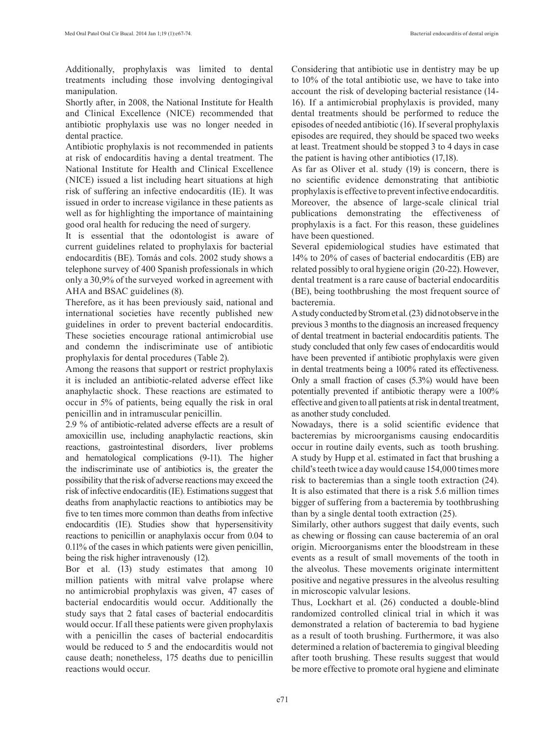Additionally, prophylaxis was limited to dental treatments including those involving dentogingival manipulation.

Shortly after, in 2008, the National Institute for Health and Clinical Excellence (NICE) recommended that antibiotic prophylaxis use was no longer needed in dental practice.

Antibiotic prophylaxis is not recommended in patients at risk of endocarditis having a dental treatment. The National Institute for Health and Clinical Excellence (NICE) issued a list including heart situations at high risk of suffering an infective endocarditis (IE). It was issued in order to increase vigilance in these patients as well as for highlighting the importance of maintaining good oral health for reducing the need of surgery.

It is essential that the odontologist is aware of current guidelines related to prophylaxis for bacterial endocarditis (BE). Tomás and cols. 2002 study shows a telephone survey of 400 Spanish professionals in which only a 30,9% of the surveyed worked in agreement with AHA and BSAC guidelines (8).

Therefore, as it has been previously said, national and international societies have recently published new guidelines in order to prevent bacterial endocarditis. These societies encourage rational antimicrobial use and condemn the indiscriminate use of antibiotic prophylaxis for dental procedures (Table 2).

Among the reasons that support or restrict prophylaxis it is included an antibiotic-related adverse effect like anaphylactic shock. These reactions are estimated to occur in 5% of patients, being equally the risk in oral penicillin and in intramuscular penicillin.

2.9 % of antibiotic-related adverse effects are a result of amoxicillin use, including anaphylactic reactions, skin reactions, gastrointestinal disorders, liver problems and hematological complications (9-11). The higher the indiscriminate use of antibiotics is, the greater the possibility that the risk of adverse reactions may exceed the risk of infective endocarditis (IE). Estimations suggest that deaths from anaphylactic reactions to antibiotics may be five to ten times more common than deaths from infective endocarditis (IE). Studies show that hypersensitivity reactions to penicillin or anaphylaxis occur from 0.04 to 0.11% of the cases in which patients were given penicillin, being the risk higher intravenously (12).

Bor et al. (13) study estimates that among 10 million patients with mitral valve prolapse where no antimicrobial prophylaxis was given, 47 cases of bacterial endocarditis would occur. Additionally the study says that 2 fatal cases of bacterial endocarditis would occur. If all these patients were given prophylaxis with a penicillin the cases of bacterial endocarditis would be reduced to 5 and the endocarditis would not cause death; nonetheless, 175 deaths due to penicillin reactions would occur.

Considering that antibiotic use in dentistry may be up to 10% of the total antibiotic use, we have to take into account the risk of developing bacterial resistance (14- 16). If a antimicrobial prophylaxis is provided, many dental treatments should be performed to reduce the episodes of needed antibiotic (16). If several prophylaxis episodes are required, they should be spaced two weeks at least. Treatment should be stopped 3 to 4 days in case the patient is having other antibiotics (17,18).

As far as Oliver et al. study (19) is concern, there is no scientific evidence demonstrating that antibiotic prophylaxis is effective to prevent infective endocarditis. Moreover, the absence of large-scale clinical trial publications demonstrating the effectiveness of prophylaxis is a fact. For this reason, these guidelines have been questioned.

Several epidemiological studies have estimated that 14% to 20% of cases of bacterial endocarditis (EB) are related possibly to oral hygiene origin (20-22). However, dental treatment is a rare cause of bacterial endocarditis (BE), being toothbrushing the most frequent source of bacteremia.

A study conducted by Strom et al. (23) did not observe in the previous 3 months to the diagnosis an increased frequency of dental treatment in bacterial endocarditis patients. The study concluded that only few cases of endocarditis would have been prevented if antibiotic prophylaxis were given in dental treatments being a 100% rated its effectiveness. Only a small fraction of cases (5.3%) would have been potentially prevented if antibiotic therapy were a 100% effective and given to all patients at risk in dental treatment, as another study concluded.

Nowadays, there is a solid scientific evidence that bacteremias by microorganisms causing endocarditis occur in routine daily events, such as tooth brushing. A study by Hupp et al. estimated in fact that brushing a child's teeth twice a day would cause 154,000 times more risk to bacteremias than a single tooth extraction (24). It is also estimated that there is a risk 5.6 million times bigger of suffering from a bacteremia by toothbrushing than by a single dental tooth extraction (25).

Similarly, other authors suggest that daily events, such as chewing or flossing can cause bacteremia of an oral origin. Microorganisms enter the bloodstream in these events as a result of small movements of the tooth in the alveolus. These movements originate intermittent positive and negative pressures in the alveolus resulting in microscopic valvular lesions.

Thus, Lockhart et al. (26) conducted a double-blind randomized controlled clinical trial in which it was demonstrated a relation of bacteremia to bad hygiene as a result of tooth brushing. Furthermore, it was also determined a relation of bacteremia to gingival bleeding after tooth brushing. These results suggest that would be more effective to promote oral hygiene and eliminate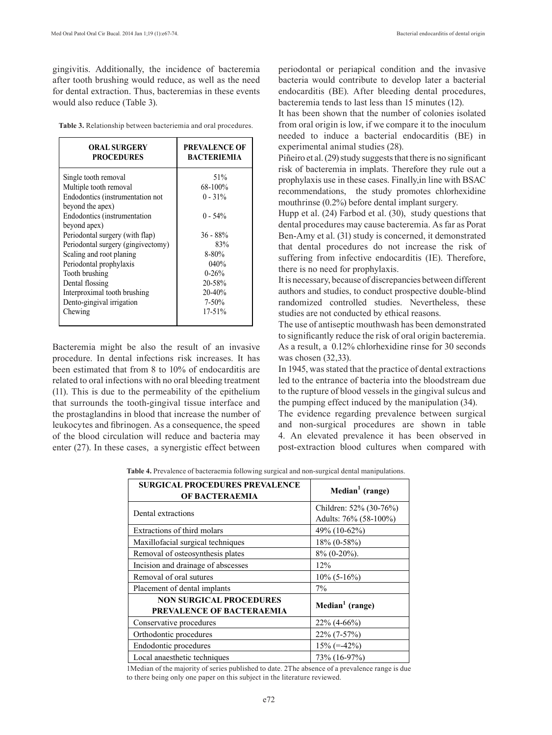gingivitis. Additionally, the incidence of bacteremia after tooth brushing would reduce, as well as the need for dental extraction. Thus, bacteremias in these events would also reduce (Table 3).

| <b>Table 3.</b> Relationship between bacteriemia and oral procedures. |  |  |
|-----------------------------------------------------------------------|--|--|
|-----------------------------------------------------------------------|--|--|

| <b>ORAL SURGERY</b><br><b>PROCEDURES</b> | <b>PREVALENCE OF</b><br><b>BACTERIEMIA</b> |
|------------------------------------------|--------------------------------------------|
| Single tooth removal                     | 51%                                        |
| Multiple tooth removal                   | 68-100%                                    |
| Endodontics (instrumentation not         | $0 - 31\%$                                 |
| beyond the apex)                         |                                            |
| Endodontics (instrumentation             | $0 - 54\%$                                 |
| beyond apex)                             |                                            |
| Periodontal surgery (with flap)          | $36 - 88%$                                 |
| Periodontal surgery (gingivectomy)       | 83%                                        |
| Scaling and root planing                 | $8 - 80%$                                  |
| Periodontal prophylaxis                  | 040%                                       |
| Tooth brushing                           | $0 - 26%$                                  |
| Dental flossing                          | 20-58%                                     |
| Interproximal tooth brushing             | $20 - 40%$                                 |
| Dento-gingival irrigation                | $7 - 50\%$                                 |
| Chewing                                  | $17 - 51\%$                                |
|                                          |                                            |

Bacteremia might be also the result of an invasive procedure. In dental infections risk increases. It has been estimated that from 8 to 10% of endocarditis are related to oral infections with no oral bleeding treatment (11). This is due to the permeability of the epithelium that surrounds the tooth-gingival tissue interface and the prostaglandins in blood that increase the number of leukocytes and fibrinogen. As a consequence, the speed of the blood circulation will reduce and bacteria may enter (27). In these cases, a synergistic effect between periodontal or periapical condition and the invasive bacteria would contribute to develop later a bacterial endocarditis (BE). After bleeding dental procedures, bacteremia tends to last less than 15 minutes (12).

It has been shown that the number of colonies isolated from oral origin is low, if we compare it to the inoculum needed to induce a bacterial endocarditis (BE) in experimental animal studies (28).

Piñeiro et al. (29) study suggests that there is no significant risk of bacteremia in implats. Therefore they rule out a prophylaxis use in these cases. Finally,in line with BSAC recommendations, the study promotes chlorhexidine mouthrinse (0.2%) before dental implant surgery.

Hupp et al. (24) Farbod et al. (30), study questions that dental procedures may cause bacteremia. As far as Porat Ben-Amy et al. (31) study is concerned, it demonstrated that dental procedures do not increase the risk of suffering from infective endocarditis (IE). Therefore, there is no need for prophylaxis.

It is necessary, because of discrepancies between different authors and studies, to conduct prospective double-blind randomized controlled studies. Nevertheless, these studies are not conducted by ethical reasons.

The use of antiseptic mouthwash has been demonstrated to significantly reduce the risk of oral origin bacteremia. As a result, a 0.12% chlorhexidine rinse for 30 seconds was chosen (32,33).

In 1945, was stated that the practice of dental extractions led to the entrance of bacteria into the bloodstream due to the rupture of blood vessels in the gingival sulcus and the pumping effect induced by the manipulation (34).

The evidence regarding prevalence between surgical and non-surgical procedures are shown in table 4. An elevated prevalence it has been observed in post-extraction blood cultures when compared with

**Table 4.** Prevalence of bacteraemia following surgical and non-surgical dental manipulations.

| <b>SURGICAL PROCEDURES PREVALENCE</b><br><b>OF BACTERAEMIA</b> | Median <sup>1</sup> (range) |  |
|----------------------------------------------------------------|-----------------------------|--|
| Dental extractions                                             | Children: 52% (30-76%)      |  |
|                                                                | Adults: 76% (58-100%)       |  |
| Extractions of third molars                                    | 49% $(10-62%)$              |  |
| Maxillofacial surgical techniques                              | 18% (0-58%)                 |  |
| Removal of osteosynthesis plates                               | 8% (0-20%).                 |  |
| Incision and drainage of abscesses                             | 12%                         |  |
| Removal of oral sutures                                        | $10\%$ (5-16%)              |  |
| Placement of dental implants                                   | 7%                          |  |
| <b>NON SURGICAL PROCEDURES</b>                                 |                             |  |
| PREVALENCE OF BACTERAEMIA                                      | Median <sup>1</sup> (range) |  |
| Conservative procedures                                        | $22\% (4-66\%)$             |  |
| Orthodontic procedures                                         | 22% (7-57%)                 |  |
| <b>Endodontic procedures</b>                                   | $15\%$ (=-42%)              |  |
| Local anaesthetic techniques                                   | 73% (16-97%)                |  |

1Median of the majority of series published to date. 2The absence of a prevalence range is due to there being only one paper on this subject in the literature reviewed.